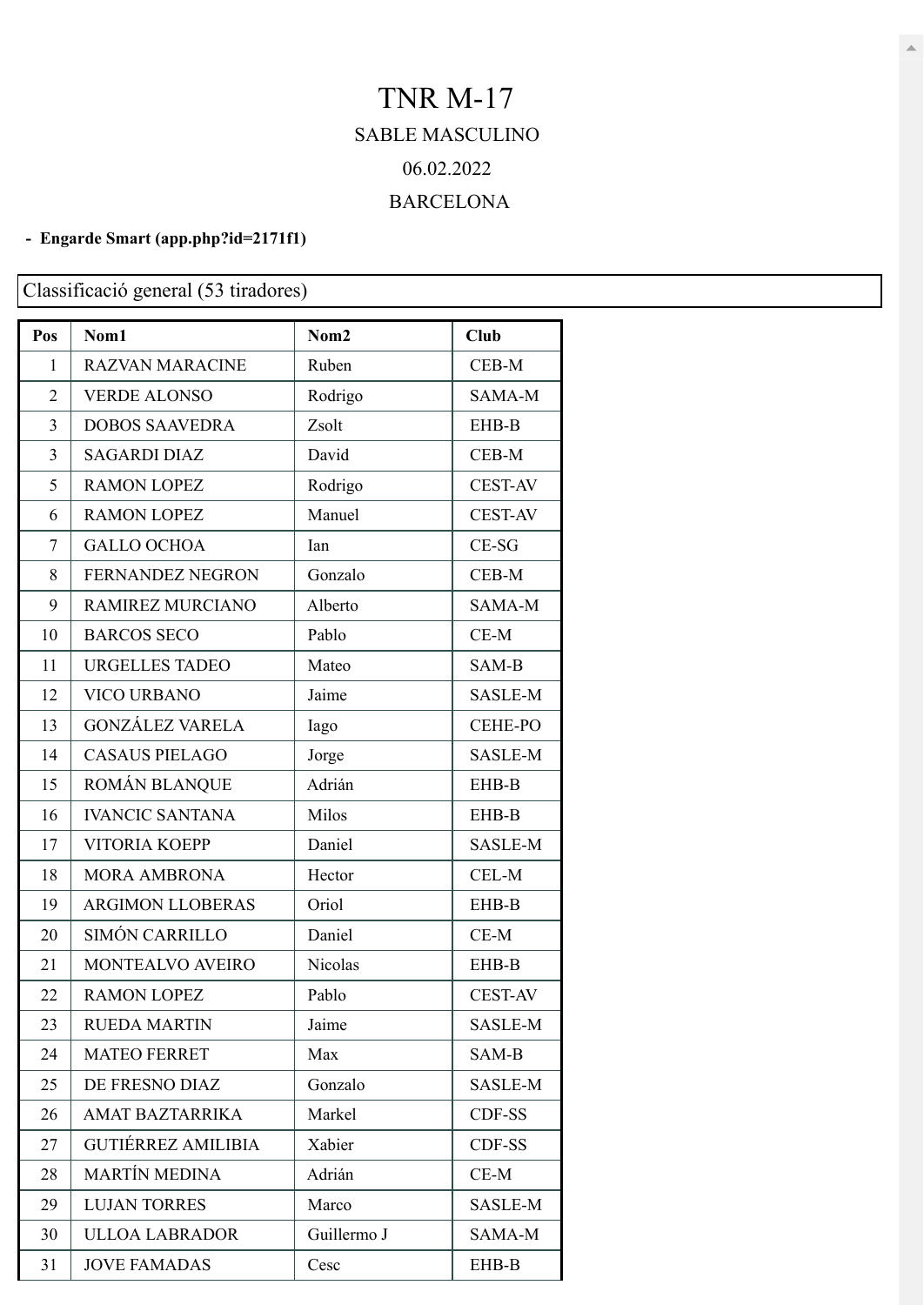## TNR M-17 SABLE MASCULINO 06.02.2022 BARCELONA

## **- Engarde Smart [\(app.php?id=2171f1\)](https://engarde-service.com/app.php?id=2171f1)**

## Classificació general (53 tiradores)

| Pos            | Nom1                      | Nom <sub>2</sub> | Club           |
|----------------|---------------------------|------------------|----------------|
| 1              | <b>RAZVAN MARACINE</b>    | Ruben            | CEB-M          |
| $\overline{2}$ | <b>VERDE ALONSO</b>       | Rodrigo          | SAMA-M         |
| 3              | <b>DOBOS SAAVEDRA</b>     | Zsolt            | EHB-B          |
| 3              | <b>SAGARDI DIAZ</b>       | David            | CEB-M          |
| 5              | <b>RAMON LOPEZ</b>        | Rodrigo          | <b>CEST-AV</b> |
| 6              | <b>RAMON LOPEZ</b>        | Manuel           | <b>CEST-AV</b> |
| $\overline{7}$ | <b>GALLO OCHOA</b>        | Ian              | $CE-SG$        |
| 8              | FERNANDEZ NEGRON          | Gonzalo          | CEB-M          |
| 9              | <b>RAMIREZ MURCIANO</b>   | Alberto          | SAMA-M         |
| 10             | <b>BARCOS SECO</b>        | Pablo            | $CE-M$         |
| 11             | <b>URGELLES TADEO</b>     | Mateo            | SAM-B          |
| 12             | <b>VICO URBANO</b>        | Jaime            | <b>SASLE-M</b> |
| 13             | <b>GONZÁLEZ VARELA</b>    | Iago             | <b>CEHE-PO</b> |
| 14             | <b>CASAUS PIELAGO</b>     | Jorge            | SASLE-M        |
| 15             | ROMÁN BLANQUE             | Adrián           | EHB-B          |
| 16             | <b>IVANCIC SANTANA</b>    | Milos            | EHB-B          |
| 17             | <b>VITORIA KOEPP</b>      | Daniel           | SASLE-M        |
| 18             | <b>MORA AMBRONA</b>       | Hector           | CEL-M          |
| 19             | <b>ARGIMON LLOBERAS</b>   | Oriol            | EHB-B          |
| 20             | SIMÓN CARRILLO            | Daniel           | $CE-M$         |
| 21             | MONTEALVO AVEIRO          | Nicolas          | EHB-B          |
| 22             | <b>RAMON LOPEZ</b>        | Pablo            | <b>CEST-AV</b> |
| 23             | <b>RUEDA MARTIN</b>       | Jaime            | SASLE-M        |
| 24             | <b>MATEO FERRET</b>       | Max              | SAM-B          |
| 25             | DE FRESNO DIAZ            | Gonzalo          | SASLE-M        |
| 26             | <b>AMAT BAZTARRIKA</b>    | Markel           | CDF-SS         |
| 27             | <b>GUTIÉRREZ AMILIBIA</b> | Xabier           | CDF-SS         |
| 28             | <b>MARTÍN MEDINA</b>      | Adrián           | $CE-M$         |
| 29             | <b>LUJAN TORRES</b>       | Marco            | SASLE-M        |
| 30             | <b>ULLOA LABRADOR</b>     | Guillermo J      | SAMA-M         |
| 31             | <b>JOVE FAMADAS</b>       | Cesc             | EHB-B          |